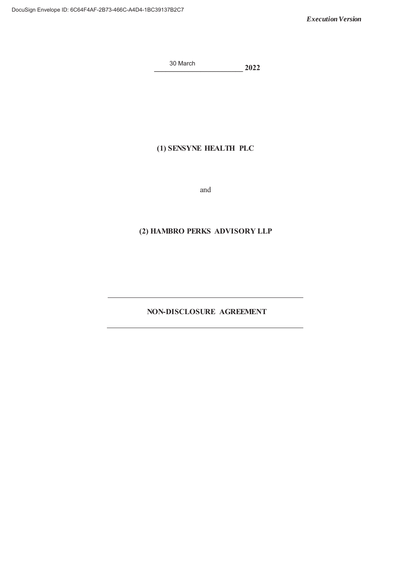**\_\_\_\_\_\_\_\_\_\_\_\_\_\_\_\_\_\_\_\_\_\_\_ 2022**  30 March

# **(1) SENSYNE HEALTH PLC**

and

# **(2) HAMBRO PERKS ADVISORY LLP**

# **NON-DISCLOSURE AGREEMENT**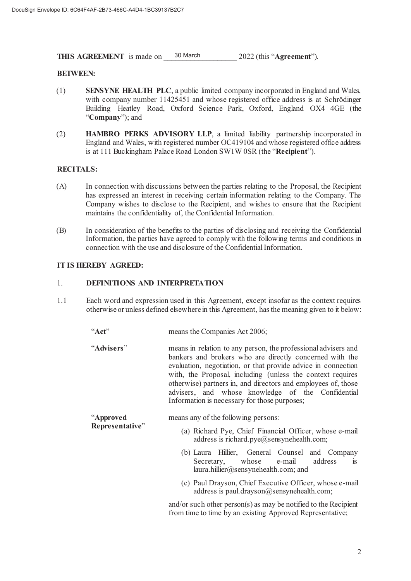**THIS AGREEMENT** is made on  $\frac{30 \text{ March}}{2022 \text{ (this "Agreement").}}$ 30 March

# **BETWEEN:**

- (1) **SENSYNE HEALTH PLC**, a public limited company incorporated in England and Wales, with company number 11425451 and whose registered office address is at Schrödinger Building Heatley Road, Oxford Science Park, Oxford, England OX4 4GE (the "**Company**"); and
- (2) **HAMBRO PERKS ADVISORY LLP**, a limited liability partnership incorporated in England and Wales, with registered number OC419104 and whose registered office address is at 111 Buckingham Palace Road London SW1W 0SR (the "**Recipient**").

# **RECITALS:**

- (A) In connection with discussions between the parties relating to the Proposal, the Recipient has expressed an interest in receiving certain information relating to the Company. The Company wishes to disclose to the Recipient, and wishes to ensure that the Recipient maintains the confidentiality of, the Confidential Information.
- (B) In consideration of the benefits to the parties of disclosing and receiving the Confidential Information, the parties have agreed to comply with the following terms and conditions in connection with the use and disclosure of the Confidential Information.

# **IT IS HEREBY AGREED:**

# 1. **DEFINITIONS AND INTERPRETATION**

1.1 Each word and expression used in this Agreement, except insofar as the context requires otherwise or unless defined elsewhere in this Agreement, has the meaning given to it below:

"**Act**" means the Companies Act 2006;

| $\mu$ and $\mu$ and $\mu$ and $\mu$ and $\mu$ and $\mu$                                                                                                                                                                                                                                                                                                                                                                        |  |  |
|--------------------------------------------------------------------------------------------------------------------------------------------------------------------------------------------------------------------------------------------------------------------------------------------------------------------------------------------------------------------------------------------------------------------------------|--|--|
| means in relation to any person, the professional advisers and<br>bankers and brokers who are directly concerned with the<br>evaluation, negotiation, or that provide advice in connection<br>with, the Proposal, including (unless the context requires<br>otherwise) partners in, and directors and employees of, those<br>advisers, and whose knowledge of the Confidential<br>Information is necessary for those purposes; |  |  |
| means any of the following persons:<br>(a) Richard Pye, Chief Financial Officer, whose e-mail<br>address is richard.pye@sensynehealth.com;<br>(b) Laura Hillier, General Counsel and Company<br>Secretary, whose e-mail<br>address<br>1S<br>laura.hillier@sensynehealth.com; and<br>(c) Paul Drayson, Chief Executive Officer, whose e-mail<br>address is paul.drayson@sensynehealth.com;                                      |  |  |
|                                                                                                                                                                                                                                                                                                                                                                                                                                |  |  |

and/or such other person(s) as may be notified to the Recipient from time to time by an existing Approved Representative;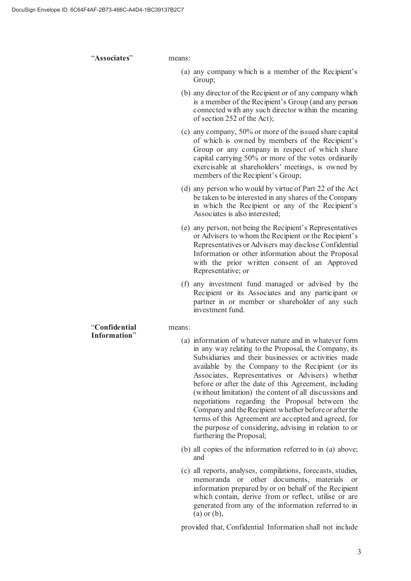### "**Associates**" means:

- (a) any company which is a member of the Recipient's Group;
- (b) any director of the Recipient or of any company which is a member of the Recipient's Group (and any person connected with any such director within the meaning of section 252 of the Act);
- (c) any company, 50% or more of the issued share capital of which is owned by members of the Recipient's Group or any company in respect of which share capital carrying 50% or more of the votes ordinarily exercisable at shareholders' meetings, is owned by members of the Recipient's Group;
- (d) any person who would by virtue of Part 22 of the Act be taken to be interested in any shares of the Company in which the Recipient or any of the Recipient's Associates is also interested;
- (e) any person, not being the Recipient's Representatives or Advisers to whom the Recipient or the Recipient's Representatives or Advisers may disclose Confidential Information or other information about the Proposal with the prior written consent of an Approved Representative; or
- (f) any investment fund managed or advised by the Recipient or its Associates and any participant or partner in or member or shareholder of any such investment fund.

#### means:

- (a) information of whatever nature and in whatever form in any way relating to the Proposal, the Company, its Subsidiaries and their businesses or activities made available by the Company to the Recipient (or its Associates, Representatives or Advisers) whether before or after the date of this Agreement, including (without limitation) the content of all discussions and negotiations regarding the Proposal between the Company and the Recipient whether before or after the terms of this Agreement are accepted and agreed, for the purpose of considering, advising in relation to or furthering the Proposal;
- (b) all copies of the information referred to in (a) above; and
- (c) all reports, analyses, compilations, forecasts, studies, memoranda or other documents, materials or information prepared by or on behalf of the Recipient which contain, derive from or reflect, utilise or are generated from any of the information referred to in (a) or (b),

provided that, Confidential Information shall not include

"**Confidential Information**"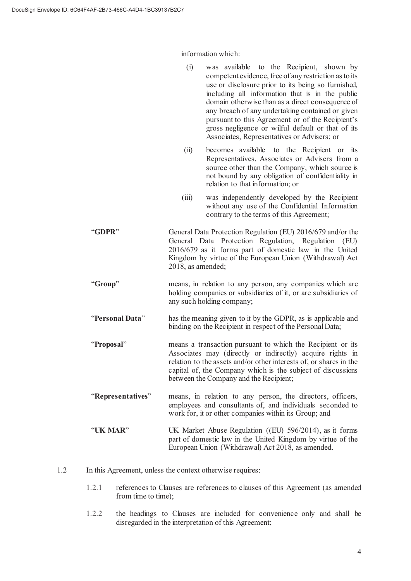information which:

|                   | (i)                                                                                                                                                                                                                                                                                                    | was available to the Recipient, shown by<br>competent evidence, free of any restriction as to its<br>use or disclosure prior to its being so furnished,<br>including all information that is in the public<br>domain otherwise than as a direct consequence of<br>any breach of any undertaking contained or given<br>pursuant to this Agreement or of the Recipient's<br>gross negligence or wilful default or that of its<br>Associates, Representatives or Advisers; or |  |
|-------------------|--------------------------------------------------------------------------------------------------------------------------------------------------------------------------------------------------------------------------------------------------------------------------------------------------------|----------------------------------------------------------------------------------------------------------------------------------------------------------------------------------------------------------------------------------------------------------------------------------------------------------------------------------------------------------------------------------------------------------------------------------------------------------------------------|--|
|                   | (ii)                                                                                                                                                                                                                                                                                                   | becomes available to the Recipient or its<br>Representatives, Associates or Advisers from a<br>source other than the Company, which source is<br>not bound by any obligation of confidentiality in<br>relation to that information; or                                                                                                                                                                                                                                     |  |
|                   | (iii)                                                                                                                                                                                                                                                                                                  | was independently developed by the Recipient<br>without any use of the Confidential Information<br>contrary to the terms of this Agreement;                                                                                                                                                                                                                                                                                                                                |  |
| "GDPR"            | 2018, as amended;                                                                                                                                                                                                                                                                                      | General Data Protection Regulation (EU) 2016/679 and/or the<br>General Data Protection Regulation, Regulation<br>(EU)<br>2016/679 as it forms part of domestic law in the United<br>Kingdom by virtue of the European Union (Withdrawal) Act                                                                                                                                                                                                                               |  |
| "Group"           |                                                                                                                                                                                                                                                                                                        | means, in relation to any person, any companies which are<br>holding companies or subsidiaries of it, or are subsidiaries of<br>any such holding company;                                                                                                                                                                                                                                                                                                                  |  |
| "Personal Data"   |                                                                                                                                                                                                                                                                                                        | has the meaning given to it by the GDPR, as is applicable and<br>binding on the Recipient in respect of the Personal Data;                                                                                                                                                                                                                                                                                                                                                 |  |
| "Proposal"        | means a transaction pursuant to which the Recipient or its<br>Associates may (directly or indirectly) acquire rights in<br>relation to the assets and/or other interests of, or shares in the<br>capital of, the Company which is the subject of discussions<br>between the Company and the Recipient; |                                                                                                                                                                                                                                                                                                                                                                                                                                                                            |  |
| "Representatives" |                                                                                                                                                                                                                                                                                                        | means, in relation to any person, the directors, officers,<br>employees and consultants of, and individuals seconded to<br>work for, it or other companies within its Group; and                                                                                                                                                                                                                                                                                           |  |
| "UK MAR"          | UK Market Abuse Regulation $((EU) 596/2014)$ , as it forms<br>part of domestic law in the United Kingdom by virtue of the<br>European Union (Withdrawal) Act 2018, as amended.                                                                                                                         |                                                                                                                                                                                                                                                                                                                                                                                                                                                                            |  |

1.2 In this Agreement, unless the context otherwise requires:

- 1.2.1 references to Clauses are references to clauses of this Agreement (as amended from time to time);
- 1.2.2 the headings to Clauses are included for convenience only and shall be disregarded in the interpretation of this Agreement;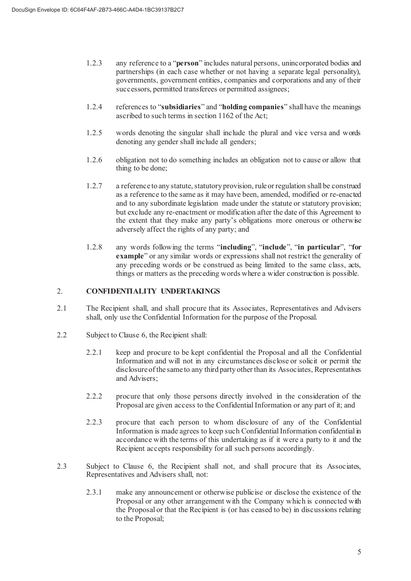- 1.2.3 any reference to a "**person**" includes natural persons, unincorporated bodies and partnerships (in each case whether or not having a separate legal personality), governments, government entities, companies and corporations and any of their successors, permitted transferees or permitted assignees;
- 1.2.4 references to "**subsidiaries**" and "**holding companies**" shall have the meanings ascribed to such terms in section 1162 of the Act;
- 1.2.5 words denoting the singular shall include the plural and vice versa and words denoting any gender shall include all genders;
- 1.2.6 obligation not to do something includes an obligation not to cause or allow that thing to be done;
- 1.2.7 a reference to any statute, statutory provision, rule or regulation shall be construed as a reference to the same as it may have been, amended, modified or re-enacted and to any subordinate legislation made under the statute or statutory provision; but exclude any re-enactment or modification after the date of this Agreement to the extent that they make any party's obligations more onerous or otherwise adversely affect the rights of any party; and
- 1.2.8 any words following the terms "**including**", "**include**", "**in particular**", "**for example**" or any similar words or expressions shall not restrict the generality of any preceding words or be construed as being limited to the same class, acts, things or matters as the preceding words where a wider construction is possible.

# 2. **CONFIDENTIALITY UNDERTAKINGS**

- 2.1 The Recipient shall, and shall procure that its Associates, Representatives and Advisers shall, only use the Confidential Information for the purpose of the Proposal.
- 2.2 Subject to Clause 6, the Recipient shall:
	- 2.2.1 keep and procure to be kept confidential the Proposal and all the Confidential Information and will not in any circumstances disclose or solicit or permit the disclosure of the same to any third party other than its Associates, Representatives and Advisers;
	- 2.2.2 procure that only those persons directly involved in the consideration of the Proposal are given access to the Confidential Information or any part of it; and
	- 2.2.3 procure that each person to whom disclosure of any of the Confidential Information is made agrees to keep such Confidential Information confidential in accordance with the terms of this undertaking as if it were a party to it and the Recipient accepts responsibility for all such persons accordingly.
- 2.3 Subject to Clause 6, the Recipient shall not, and shall procure that its Associates, Representatives and Advisers shall, not:
	- 2.3.1 make any announcement or otherwise publicise or disclose the existence of the Proposal or any other arrangement with the Company which is connected with the Proposal or that the Recipient is (or has ceased to be) in discussions relating to the Proposal;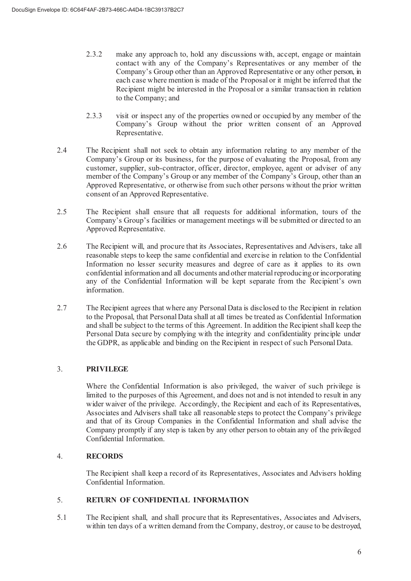- 2.3.2 make any approach to, hold any discussions with, accept, engage or maintain contact with any of the Company's Representatives or any member of the Company's Group other than an Approved Representative or any other person, in each case where mention is made of the Proposal or it might be inferred that the Recipient might be interested in the Proposal or a similar transaction in relation to the Company; and
- 2.3.3 visit or inspect any of the properties owned or occupied by any member of the Company's Group without the prior written consent of an Approved Representative.
- 2.4 The Recipient shall not seek to obtain any information relating to any member of the Company's Group or its business, for the purpose of evaluating the Proposal, from any customer, supplier, sub-contractor, officer, director, employee, agent or adviser of any member of the Company's Group or any member of the Company's Group, other than an Approved Representative, or otherwise from such other persons without the prior written consent of an Approved Representative.
- 2.5 The Recipient shall ensure that all requests for additional information, tours of the Company's Group's facilities or management meetings will be submitted or directed to an Approved Representative.
- 2.6 The Recipient will, and procure that its Associates, Representatives and Advisers, take all reasonable steps to keep the same confidential and exercise in relation to the Confidential Information no lesser security measures and degree of care as it applies to its own confidential information and all documents and other material reproducing or incorporating any of the Confidential Information will be kept separate from the Recipient's own information.
- 2.7 The Recipient agrees that where any Personal Data is disclosed to the Recipient in relation to the Proposal, that Personal Data shall at all times be treated as Confidential Information and shall be subject to the terms of this Agreement. In addition the Recipient shall keep the Personal Data secure by complying with the integrity and confidentiality principle under the GDPR, as applicable and binding on the Recipient in respect of such Personal Data.

# 3. **PRIVILEGE**

Where the Confidential Information is also privileged, the waiver of such privilege is limited to the purposes of this Agreement, and does not and is not intended to result in any wider waiver of the privilege. Accordingly, the Recipient and each of its Representatives, Associates and Advisers shall take all reasonable steps to protect the Company's privilege and that of its Group Companies in the Confidential Information and shall advise the Company promptly if any step is taken by any other person to obtain any of the privileged Confidential Information.

# 4. **RECORDS**

The Recipient shall keep a record of its Representatives, Associates and Advisers holding Confidential Information.

# 5. **RETURN OF CONFIDENTIAL INFORMATION**

5.1 The Recipient shall, and shall procure that its Representatives, Associates and Advisers, within ten days of a written demand from the Company, destroy, or cause to be destroyed,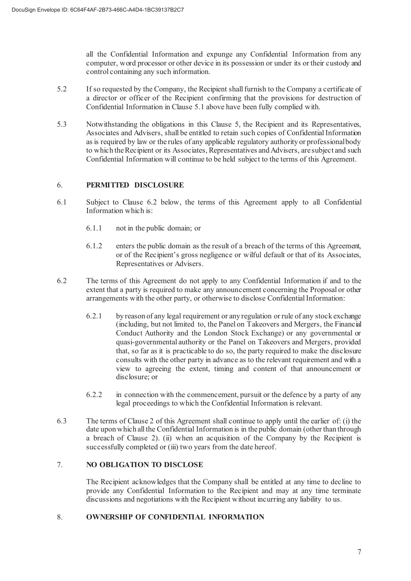all the Confidential Information and expunge any Confidential Information from any computer, word processor or other device in its possession or under its or their custody and control containing any such information.

- 5.2 If so requested by the Company, the Recipient shall furnish to the Company a certificate of a director or officer of the Recipient confirming that the provisions for destruction of Confidential Information in Clause 5.1 above have been fully complied with.
- 5.3 Notwithstanding the obligations in this Clause 5, the Recipient and its Representatives, Associates and Advisers, shall be entitled to retain such copies of Confidential Information as is required by law or the rules of any applicable regulatory authority or professional body to which the Recipient or its Associates, Representatives and Advisers, are subject and such Confidential Information will continue to be held subject to the terms of this Agreement.

# 6. **PERMITTED DISCLOSURE**

- 6.1 Subject to Clause 6.2 below, the terms of this Agreement apply to all Confidential Information which is:
	- 6.1.1 not in the public domain; or
	- 6.1.2 enters the public domain as the result of a breach of the terms of this Agreement, or of the Recipient's gross negligence or wilful default or that of its Associates, Representatives or Advisers.
- 6.2 The terms of this Agreement do not apply to any Confidential Information if and to the extent that a party is required to make any announcement concerning the Proposal or other arrangements with the other party, or otherwise to disclose Confidential Information:
	- 6.2.1 by reason of any legal requirement or any regulation or rule of any stock exchange (including, but not limited to, the Panel on Takeovers and Mergers, the Financial Conduct Authority and the London Stock Exchange) or any governmental or quasi-governmental authority or the Panel on Takeovers and Mergers, provided that, so far as it is practicable to do so, the party required to make the disclosure consults with the other party in advance as to the relevant requirement and with a view to agreeing the extent, timing and content of that announcement or disclosure; or
	- 6.2.2 in connection with the commencement, pursuit or the defence by a party of any legal proceedings to which the Confidential Information is relevant.
- 6.3 The terms of Clause 2 of this Agreement shall continue to apply until the earlier of: (i) the date upon which all the Confidential Information is in the public domain (other than through a breach of Clause 2). (ii) when an acquisition of the Company by the Recipient is successfully completed or (iii) two years from the date hereof.

# 7. **NO OBLIGATION TO DISCLOSE**

The Recipient acknowledges that the Company shall be entitled at any time to decline to provide any Confidential Information to the Recipient and may at any time terminate discussions and negotiations with the Recipient without incurring any liability to us.

# 8. **OWNERSHIP OF CONFIDENTIAL INFORMATION**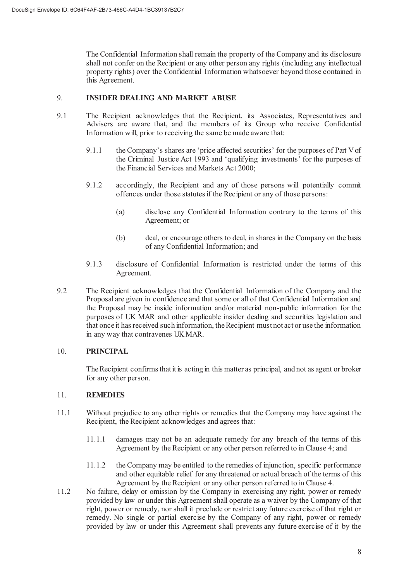The Confidential Information shall remain the property of the Company and its disclosure shall not confer on the Recipient or any other person any rights (including any intellectual property rights) over the Confidential Information whatsoever beyond those contained in this Agreement.

# 9. **INSIDER DEALING AND MARKET ABUSE**

- 9.1 The Recipient acknowledges that the Recipient, its Associates, Representatives and Advisers are aware that, and the members of its Group who receive Confidential Information will, prior to receiving the same be made aware that:
	- 9.1.1 the Company's shares are 'price affected securities' for the purposes of Part V of the Criminal Justice Act 1993 and 'qualifying investments' for the purposes of the Financial Services and Markets Act 2000;
	- 9.1.2 accordingly, the Recipient and any of those persons will potentially commit offences under those statutes if the Recipient or any of those persons:
		- (a) disclose any Confidential Information contrary to the terms of this Agreement; or
		- (b) deal, or encourage others to deal, in shares in the Company on the basis of any Confidential Information; and
	- 9.1.3 disclosure of Confidential Information is restricted under the terms of this Agreement.
- 9.2 The Recipient acknowledges that the Confidential Information of the Company and the Proposal are given in confidence and that some or all of that Confidential Information and the Proposal may be inside information and/or material non-public information for the purposes of UK MAR and other applicable insider dealing and securities legislation and that once it has received such information, the Recipient must not act or use the information in any way that contravenes UK MAR.

# 10. **PRINCIPAL**

The Recipient confirms that it is acting in this matter as principal, and not as agent or broker for any other person.

### 11. **REMEDIES**

- 11.1 Without prejudice to any other rights or remedies that the Company may have against the Recipient, the Recipient acknowledges and agrees that:
	- 11.1.1 damages may not be an adequate remedy for any breach of the terms of this Agreement by the Recipient or any other person referred to in Clause 4; and
	- 11.1.2 the Company may be entitled to the remedies of injunction, specific performance and other equitable relief for any threatened or actual breach of the terms of this Agreement by the Recipient or any other person referred to in Clause 4.
- 11.2 No failure, delay or omission by the Company in exercising any right, power or remedy provided by law or under this Agreement shall operate as a waiver by the Company of that right, power or remedy, nor shall it preclude or restrict any future exercise of that right or remedy. No single or partial exercise by the Company of any right, power or remedy provided by law or under this Agreement shall prevents any future exercise of it by the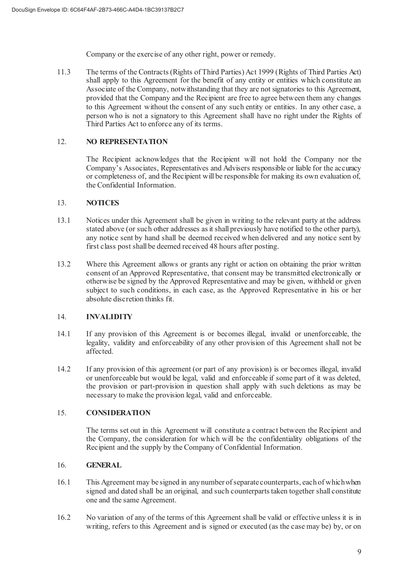Company or the exercise of any other right, power or remedy.

11.3 The terms of the Contracts (Rights of Third Parties) Act 1999 (Rights of Third Parties Act) shall apply to this Agreement for the benefit of any entity or entities which constitute an Associate of the Company, notwithstanding that they are not signatories to this Agreement, provided that the Company and the Recipient are free to agree between them any changes to this Agreement without the consent of any such entity or entities. In any other case, a person who is not a signatory to this Agreement shall have no right under the Rights of Third Parties Act to enforce any of its terms.

# 12. **NO REPRESENTATION**

The Recipient acknowledges that the Recipient will not hold the Company nor the Company's Associates, Representatives and Advisers responsible or liable for the accuracy or completeness of, and the Recipient will be responsible for making its own evaluation of, the Confidential Information.

### 13. **NOTICES**

- 13.1 Notices under this Agreement shall be given in writing to the relevant party at the address stated above (or such other addresses as it shall previously have notified to the other party), any notice sent by hand shall be deemed received when delivered and any notice sent by first class post shall be deemed received 48 hours after posting.
- 13.2 Where this Agreement allows or grants any right or action on obtaining the prior written consent of an Approved Representative, that consent may be transmitted electronically or otherwise be signed by the Approved Representative and may be given, withheld or given subject to such conditions, in each case, as the Approved Representative in his or her absolute discretion thinks fit.

# 14. **INVALIDITY**

- 14.1 If any provision of this Agreement is or becomes illegal, invalid or unenforceable, the legality, validity and enforceability of any other provision of this Agreement shall not be affected.
- 14.2 If any provision of this agreement (or part of any provision) is or becomes illegal, invalid or unenforceable but would be legal, valid and enforceable if some part of it was deleted, the provision or part-provision in question shall apply with such deletions as may be necessary to make the provision legal, valid and enforceable.

# 15. **CONSIDERATION**

The terms set out in this Agreement will constitute a contract between the Recipient and the Company, the consideration for which will be the confidentiality obligations of the Recipient and the supply by the Company of Confidential Information.

### 16. **GENERAL**

- 16.1 This Agreement may be signed in any number of separate counterparts, each of which when signed and dated shall be an original, and such counterparts taken together shall constitute one and the same Agreement.
- 16.2 No variation of any of the terms of this Agreement shall be valid or effective unless it is in writing, refers to this Agreement and is signed or executed (as the case may be) by, or on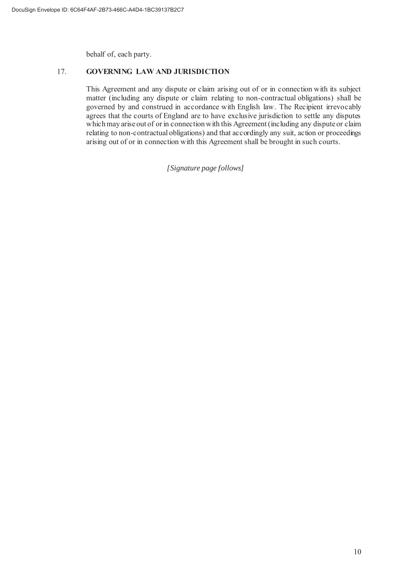behalf of, each party.

# 17. **GOVERNING LAW AND JURISDICTION**

This Agreement and any dispute or claim arising out of or in connection with its subject matter (including any dispute or claim relating to non-contractual obligations) shall be governed by and construed in accordance with English law. The Recipient irrevocably agrees that the courts of England are to have exclusive jurisdiction to settle any disputes which may arise out of or in connection with this Agreement (including any dispute or claim relating to non-contractual obligations) and that accordingly any suit, action or proceedings arising out of or in connection with this Agreement shall be brought in such courts.

*[Signature page follows]*